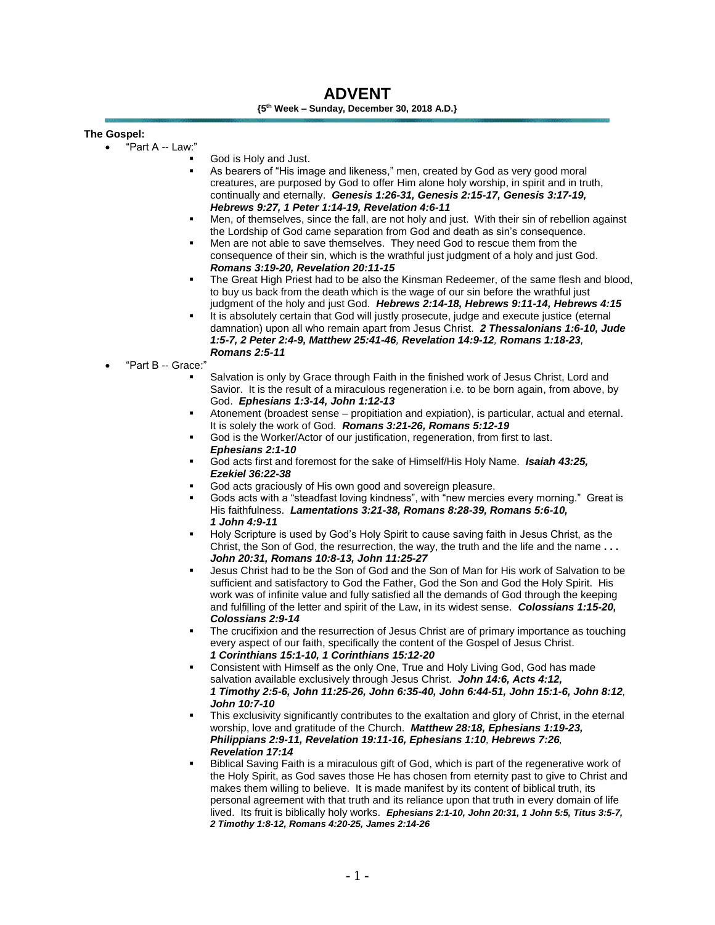# **ADVENT {5th Week – Sunday, December 30, 2018 A.D.}**

# **The Gospel:**

- "Part A -- Law:"
	- God is Holy and Just.
	- As bearers of "His image and likeness," men, created by God as very good moral creatures, are purposed by God to offer Him alone holy worship, in spirit and in truth, continually and eternally. *Genesis 1:26-31, Genesis 2:15-17, Genesis 3:17-19, Hebrews 9:27, 1 Peter 1:14-19, Revelation 4:6-11*
	- Men, of themselves, since the fall, are not holy and just. With their sin of rebellion against the Lordship of God came separation from God and death as sin's consequence.
	- Men are not able to save themselves. They need God to rescue them from the consequence of their sin, which is the wrathful just judgment of a holy and just God. *Romans 3:19-20, Revelation 20:11-15*
	- The Great High Priest had to be also the Kinsman Redeemer, of the same flesh and blood, to buy us back from the death which is the wage of our sin before the wrathful just judgment of the holy and just God. *Hebrews 2:14-18, Hebrews 9:11-14, Hebrews 4:15*
	- It is absolutely certain that God will justly prosecute, judge and execute justice (eternal damnation) upon all who remain apart from Jesus Christ. *2 Thessalonians 1:6-10, Jude 1:5-7, 2 Peter 2:4-9, Matthew 25:41-46, Revelation 14:9-12, Romans 1:18-23, Romans 2:5-11*
	- "Part B -- Grace:"
		- Salvation is only by Grace through Faith in the finished work of Jesus Christ, Lord and Savior. It is the result of a miraculous regeneration i.e. to be born again, from above, by God. *Ephesians 1:3-14, John 1:12-13*
		- Atonement (broadest sense propitiation and expiation), is particular, actual and eternal. It is solely the work of God. *Romans 3:21-26, Romans 5:12-19*
		- God is the Worker/Actor of our justification, regeneration, from first to last. *Ephesians 2:1-10*
		- God acts first and foremost for the sake of Himself/His Holy Name. *Isaiah 43:25, Ezekiel 36:22-38*
		- God acts graciously of His own good and sovereign pleasure.
		- Gods acts with a "steadfast loving kindness", with "new mercies every morning." Great is His faithfulness. *Lamentations 3:21-38, Romans 8:28-39, Romans 5:6-10, 1 John 4:9-11*
		- Holy Scripture is used by God's Holy Spirit to cause saving faith in Jesus Christ, as the Christ, the Son of God, the resurrection, the way, the truth and the life and the name **. . .** *John 20:31, Romans 10:8-13, John 11:25-27*
		- Jesus Christ had to be the Son of God and the Son of Man for His work of Salvation to be sufficient and satisfactory to God the Father, God the Son and God the Holy Spirit. His work was of infinite value and fully satisfied all the demands of God through the keeping and fulfilling of the letter and spirit of the Law, in its widest sense. *Colossians 1:15-20, Colossians 2:9-14*
		- The crucifixion and the resurrection of Jesus Christ are of primary importance as touching every aspect of our faith, specifically the content of the Gospel of Jesus Christ. *1 Corinthians 15:1-10, 1 Corinthians 15:12-20*
		- Consistent with Himself as the only One, True and Holy Living God, God has made salvation available exclusively through Jesus Christ. *John 14:6, Acts 4:12, 1 Timothy 2:5-6, John 11:25-26, John 6:35-40, John 6:44-51, John 15:1-6, John 8:12, John 10:7-10*
		- This exclusivity significantly contributes to the exaltation and glory of Christ, in the eternal worship, love and gratitude of the Church. *Matthew 28:18, Ephesians 1:19-23, Philippians 2:9-11, Revelation 19:11-16, Ephesians 1:10, Hebrews 7:26, Revelation 17:14*
		- Biblical Saving Faith is a miraculous gift of God, which is part of the regenerative work of the Holy Spirit, as God saves those He has chosen from eternity past to give to Christ and makes them willing to believe. It is made manifest by its content of biblical truth, its personal agreement with that truth and its reliance upon that truth in every domain of life lived. Its fruit is biblically holy works. *Ephesians 2:1-10, John 20:31, 1 John 5:5, Titus 3:5-7, 2 Timothy 1:8-12, Romans 4:20-25, James 2:14-26*